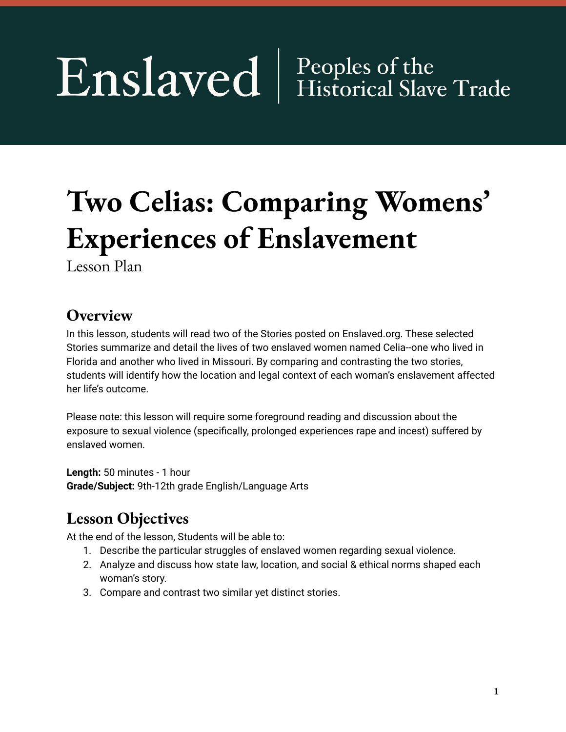# Enslaved | Peoples of the

# **Two Celias: Comparing Womens' Experiences of Enslavement**

Lesson Plan

# **Overview**

In this lesson, students will read two of the Stories posted on Enslaved.org. These selected Stories summarize and detail the lives of two enslaved women named Celia--one who lived in Florida and another who lived in Missouri. By comparing and contrasting the two stories, students will identify how the location and legal context of each woman's enslavement affected her life's outcome.

Please note: this lesson will require some foreground reading and discussion about the exposure to sexual violence (specifically, prolonged experiences rape and incest) suffered by enslaved women.

**Length:** 50 minutes - 1 hour **Grade/Subject:** 9th-12th grade English/Language Arts

# **Lesson Objectives**

At the end of the lesson, Students will be able to:

- 1. Describe the particular struggles of enslaved women regarding sexual violence.
- 2. Analyze and discuss how state law, location, and social & ethical norms shaped each woman's story.
- 3. Compare and contrast two similar yet distinct stories.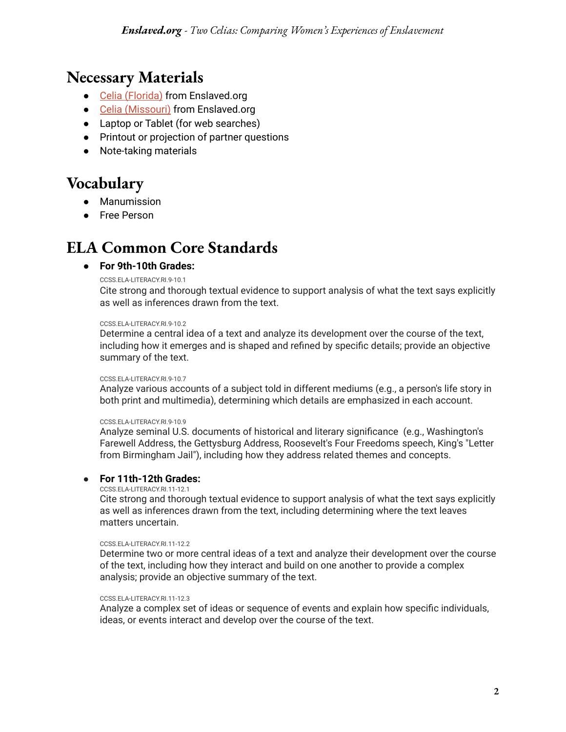# **Necessary Materials**

- Celia [\(Florida\)](https://enslaved.org/fullStory/16-23-126806/) from Enslaved.org
- Celia [\(Missouri\)](https://enslaved.org/fullStory/16-23-106167/) from Enslaved.org
- Laptop or Tablet (for web searches)
- Printout or projection of partner questions
- Note-taking materials

# **Vocabulary**

- Manumission
- Free Person

## **ELA Common Core Standards**

#### **● For 9th-10th Grades:**

#### [CCSS.ELA-LITERACY.RI.9-10.1](http://www.corestandards.org/ELA-Literacy/RI/9-10/1/)

Cite strong and thorough textual evidence to support analysis of what the text says explicitly as well as inferences drawn from the text.

#### CCSS ELA-LITERACY RL9-10.2

Determine a central idea of a text and analyze its development over the course of the text, including how it emerges and is shaped and refined by specific details; provide an objective summary of the text.

#### [CCSS.ELA-LITERACY.RI.9-10.7](http://www.corestandards.org/ELA-Literacy/RI/9-10/7/)

Analyze various accounts of a subject told in different mediums (e.g., a person's life story in both print and multimedia), determining which details are emphasized in each account.

#### [CCSS.ELA-LITERACY.RI.9-10.9](http://www.corestandards.org/ELA-Literacy/RI/9-10/9/)

Analyze seminal U.S. documents of historical and literary significance (e.g., Washington's Farewell Address, the Gettysburg Address, Roosevelt's Four Freedoms speech, King's "Letter from Birmingham Jail"), including how they address related themes and concepts.

#### ● **For 11th-12th Grades:**

#### [CCSS.ELA-LITERACY.RI.11-12.1](http://www.corestandards.org/ELA-Literacy/RI/11-12/1/)

Cite strong and thorough textual evidence to support analysis of what the text says explicitly as well as inferences drawn from the text, including determining where the text leaves matters uncertain.

#### [CCSS.ELA-LITERACY.RI.11-12.2](http://www.corestandards.org/ELA-Literacy/RI/11-12/2/)

Determine two or more central ideas of a text and analyze their development over the course of the text, including how they interact and build on one another to provide a complex analysis; provide an objective summary of the text.

#### [CCSS.ELA-LITERACY.RI.11-12.3](http://www.corestandards.org/ELA-Literacy/RI/11-12/3/)

Analyze a complex set of ideas or sequence of events and explain how specific individuals, ideas, or events interact and develop over the course of the text.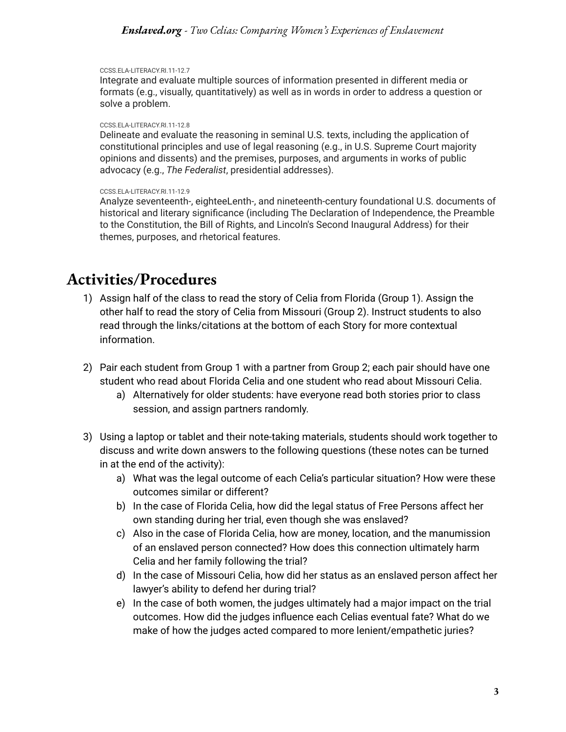#### *Enslaved.org - Two Celias: Comparing Women's Experiences of Enslavement*

#### [CCSS.ELA-LITERACY.RI.11-12.7](http://www.corestandards.org/ELA-Literacy/RI/11-12/7/)

Integrate and evaluate multiple sources of information presented in different media or formats (e.g., visually, quantitatively) as well as in words in order to address a question or solve a problem.

#### [CCSS.ELA-LITERACY.RI.11-12.8](http://www.corestandards.org/ELA-Literacy/RI/11-12/8/)

Delineate and evaluate the reasoning in seminal U.S. texts, including the application of constitutional principles and use of legal reasoning (e.g., in U.S. Supreme Court majority opinions and dissents) and the premises, purposes, and arguments in works of public advocacy (e.g., *The Federalist*, presidential addresses).

#### [CCSS.ELA-LITERACY.RI.11-12.9](http://www.corestandards.org/ELA-Literacy/RI/11-12/9/)

Analyze seventeenth-, eighteeLenth-, and nineteenth-century foundational U.S. documents of historical and literary significance (including The Declaration of Independence, the Preamble to the Constitution, the Bill of Rights, and Lincoln's Second Inaugural Address) for their themes, purposes, and rhetorical features.

### **Activities/Procedures**

- 1) Assign half of the class to read the story of Celia from Florida (Group 1). Assign the other half to read the story of Celia from Missouri (Group 2). Instruct students to also read through the links/citations at the bottom of each Story for more contextual information.
- 2) Pair each student from Group 1 with a partner from Group 2; each pair should have one student who read about Florida Celia and one student who read about Missouri Celia.
	- a) Alternatively for older students: have everyone read both stories prior to class session, and assign partners randomly.
- 3) Using a laptop or tablet and their note-taking materials, students should work together to discuss and write down answers to the following questions (these notes can be turned in at the end of the activity):
	- a) What was the legal outcome of each Celia's particular situation? How were these outcomes similar or different?
	- b) In the case of Florida Celia, how did the legal status of Free Persons affect her own standing during her trial, even though she was enslaved?
	- c) Also in the case of Florida Celia, how are money, location, and the manumission of an enslaved person connected? How does this connection ultimately harm Celia and her family following the trial?
	- d) In the case of Missouri Celia, how did her status as an enslaved person affect her lawyer's ability to defend her during trial?
	- e) In the case of both women, the judges ultimately had a major impact on the trial outcomes. How did the judges influence each Celias eventual fate? What do we make of how the judges acted compared to more lenient/empathetic juries?